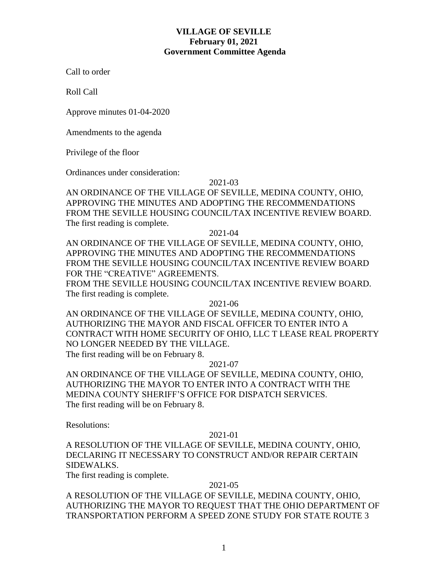### **VILLAGE OF SEVILLE February 01, 2021 Government Committee Agenda**

Call to order

Roll Call

Approve minutes 01-04-2020

Amendments to the agenda

Privilege of the floor

Ordinances under consideration:

#### 2021-03

AN ORDINANCE OF THE VILLAGE OF SEVILLE, MEDINA COUNTY, OHIO, APPROVING THE MINUTES AND ADOPTING THE RECOMMENDATIONS FROM THE SEVILLE HOUSING COUNCIL/TAX INCENTIVE REVIEW BOARD. The first reading is complete.

2021-04

AN ORDINANCE OF THE VILLAGE OF SEVILLE, MEDINA COUNTY, OHIO, APPROVING THE MINUTES AND ADOPTING THE RECOMMENDATIONS FROM THE SEVILLE HOUSING COUNCIL/TAX INCENTIVE REVIEW BOARD FOR THE "CREATIVE" AGREEMENTS.

FROM THE SEVILLE HOUSING COUNCIL/TAX INCENTIVE REVIEW BOARD. The first reading is complete.

2021-06

AN ORDINANCE OF THE VILLAGE OF SEVILLE, MEDINA COUNTY, OHIO, AUTHORIZING THE MAYOR AND FISCAL OFFICER TO ENTER INTO A CONTRACT WITH HOME SECURITY OF OHIO, LLC T LEASE REAL PROPERTY NO LONGER NEEDED BY THE VILLAGE. The first reading will be on February 8.

#### 2021-07

AN ORDINANCE OF THE VILLAGE OF SEVILLE, MEDINA COUNTY, OHIO, AUTHORIZING THE MAYOR TO ENTER INTO A CONTRACT WITH THE MEDINA COUNTY SHERIFF'S OFFICE FOR DISPATCH SERVICES. The first reading will be on February 8.

Resolutions:

#### 2021-01

A RESOLUTION OF THE VILLAGE OF SEVILLE, MEDINA COUNTY, OHIO, DECLARING IT NECESSARY TO CONSTRUCT AND/OR REPAIR CERTAIN SIDEWALKS.

The first reading is complete.

#### 2021-05

A RESOLUTION OF THE VILLAGE OF SEVILLE, MEDINA COUNTY, OHIO, AUTHORIZING THE MAYOR TO REQUEST THAT THE OHIO DEPARTMENT OF TRANSPORTATION PERFORM A SPEED ZONE STUDY FOR STATE ROUTE 3